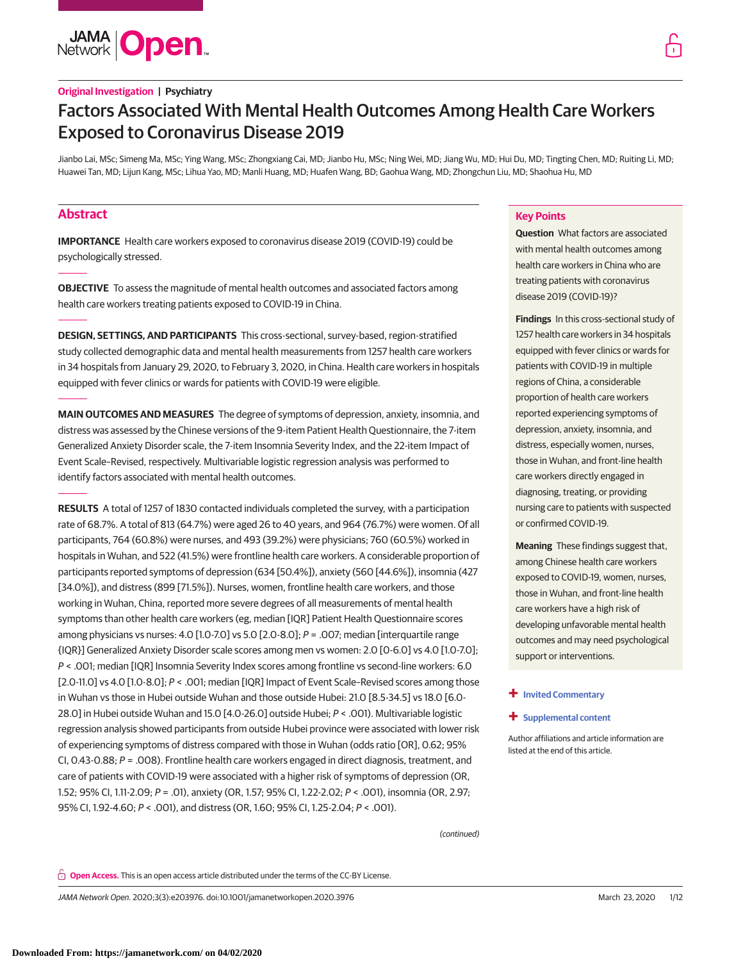

# Factors Associated With Mental Health Outcomes Among Health Care Workers Exposed to Coronavirus Disease 2019

Jianbo Lai, MSc; Simeng Ma, MSc; Ying Wang, MSc; Zhongxiang Cai, MD; Jianbo Hu, MSc; Ning Wei, MD; Jiang Wu, MD; Hui Du, MD; Tingting Chen, MD; Ruiting Li, MD; Huawei Tan, MD; Lijun Kang, MSc; Lihua Yao, MD; Manli Huang, MD; Huafen Wang, BD; Gaohua Wang, MD; Zhongchun Liu, MD; Shaohua Hu, MD

# **Abstract**

**IMPORTANCE** Health care workers exposed to coronavirus disease 2019 (COVID-19) could be psychologically stressed.

**OBJECTIVE** To assess the magnitude of mental health outcomes and associated factors among health care workers treating patients exposed to COVID-19 in China.

**DESIGN, SETTINGS, AND PARTICIPANTS** This cross-sectional, survey-based, region-stratified study collected demographic data and mental health measurements from 1257 health care workers in 34 hospitals from January 29, 2020, to February 3, 2020, in China. Health care workers in hospitals equipped with fever clinics or wards for patients with COVID-19 were eligible.

**MAIN OUTCOMES AND MEASURES** The degree of symptoms of depression, anxiety, insomnia, and distress was assessed by the Chinese versions of the 9-item Patient Health Questionnaire, the 7-item Generalized Anxiety Disorder scale, the 7-item Insomnia Severity Index, and the 22-item Impact of Event Scale–Revised, respectively. Multivariable logistic regression analysis was performed to identify factors associated with mental health outcomes.

**RESULTS** A total of 1257 of 1830 contacted individuals completed the survey, with a participation rate of 68.7%. A total of 813 (64.7%) were aged 26 to 40 years, and 964 (76.7%) were women. Of all participants, 764 (60.8%) were nurses, and 493 (39.2%) were physicians; 760 (60.5%) worked in hospitals in Wuhan, and 522 (41.5%) were frontline health care workers. A considerable proportion of participants reported symptoms of depression (634 [50.4%]), anxiety (560 [44.6%]), insomnia (427 [34.0%]), and distress (899 [71.5%]). Nurses, women, frontline health care workers, and those working in Wuhan, China, reported more severe degrees of all measurements of mental health symptoms than other health care workers (eg, median [IQR] Patient Health Questionnaire scores among physicians vs nurses: 4.0 [1.0-7.0] vs 5.0 [2.0-8.0]; P = .007; median [interquartile range {IQR}] Generalized Anxiety Disorder scale scores among men vs women: 2.0 [0-6.0] vs 4.0 [1.0-7.0]; P < .001; median [IQR] Insomnia Severity Index scores among frontline vs second-line workers: 6.0 [2.0-11.0] vs 4.0 [1.0-8.0]; P < .001; median [IQR] Impact of Event Scale-Revised scores among those in Wuhan vs those in Hubei outside Wuhan and those outside Hubei: 21.0 [8.5-34.5] vs 18.0 [6.0- 28.0] in Hubei outside Wuhan and 15.0 [4.0-26.0] outside Hubei; P < .001). Multivariable logistic regression analysis showed participants from outside Hubei province were associated with lower risk of experiencing symptoms of distress compared with those in Wuhan (odds ratio [OR], 0.62; 95% CI, 0.43-0.88; P = .008). Frontline health care workers engaged in direct diagnosis, treatment, and care of patients with COVID-19 were associated with a higher risk of symptoms of depression (OR, 1.52; 95% CI, 1.11-2.09; P = .01), anxiety (OR, 1.57; 95% CI, 1.22-2.02; P < .001), insomnia (OR, 2.97; 95% CI, 1.92-4.60; P < .001), and distress (OR, 1.60; 95% CI, 1.25-2.04; P < .001).

# **Key Points**

**Question** What factors are associated with mental health outcomes among health care workers in China who are treating patients with coronavirus disease 2019 (COVID-19)?

**Findings** In this cross-sectional study of 1257 health care workers in 34 hospitals equipped with fever clinics or wards for patients with COVID-19 in multiple regions of China, a considerable proportion of health care workers reported experiencing symptoms of depression, anxiety, insomnia, and distress, especially women, nurses, those in Wuhan, and front-line health care workers directly engaged in diagnosing, treating, or providing nursing care to patients with suspected or confirmed COVID-19.

**Meaning** These findings suggest that, among Chinese health care workers exposed to COVID-19, women, nurses, those in Wuhan, and front-line health care workers have a high risk of developing unfavorable mental health outcomes and may need psychological support or interventions.

#### **+ [Invited Commentary](https://jama.jamanetwork.com/article.aspx?doi=10.1001/jamanetworkopen.2020.4006&utm_campaign=articlePDF%26utm_medium=articlePDFlink%26utm_source=articlePDF%26utm_content=jamanetworkopen.2020.3976)**

**+ [Supplemental content](https://jama.jamanetwork.com/article.aspx?doi=10.1001/jamanetworkopen.2020.3976&utm_campaign=articlePDF%26utm_medium=articlePDFlink%26utm_source=articlePDF%26utm_content=jamanetworkopen.2020.3976)**

Author affiliations and article information are listed at the end of this article.

(continued)

**Open Access.** This is an open access article distributed under the terms of the CC-BY License.

JAMA Network Open. 2020;3(3):e203976. doi:10.1001/jamanetworkopen.2020.3976 (Reprinted) March 23, 2020 1/12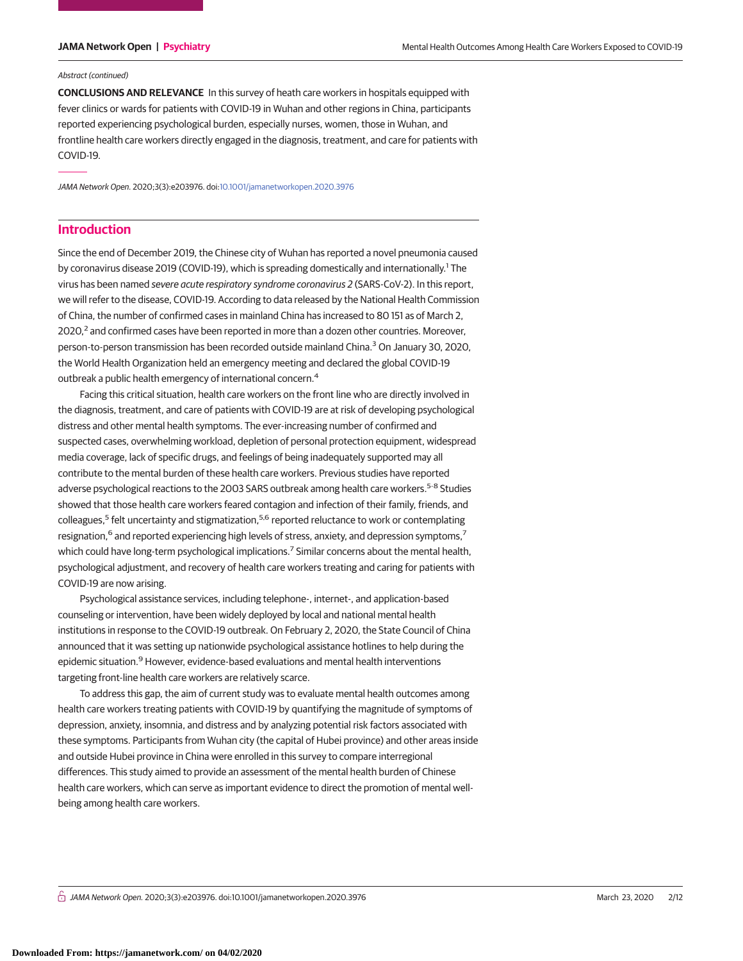#### Abstract (continued)

**CONCLUSIONS AND RELEVANCE** In this survey of heath care workers in hospitals equipped with fever clinics or wards for patients with COVID-19 in Wuhan and other regions in China, participants reported experiencing psychological burden, especially nurses, women, those in Wuhan, and frontline health care workers directly engaged in the diagnosis, treatment, and care for patients with COVID-19.

JAMA Network Open. 2020;3(3):e203976. doi[:10.1001/jamanetworkopen.2020.3976](https://jama.jamanetwork.com/article.aspx?doi=10.1001/jamanetworkopen.2020.3976&utm_campaign=articlePDF%26utm_medium=articlePDFlink%26utm_source=articlePDF%26utm_content=jamanetworkopen.2020.3976)

# **Introduction**

Since the end of December 2019, the Chinese city of Wuhan has reported a novel pneumonia caused by coronavirus disease 2019 (COVID-19), which is spreading domestically and internationally.<sup>1</sup> The virus has been named severe acute respiratory syndrome coronavirus 2 (SARS-CoV-2). In this report, we will refer to the disease, COVID-19. According to data released by the National Health Commission of China, the number of confirmed cases in mainland China has increased to 80 151 as of March 2,  $2020<sup>2</sup>$  and confirmed cases have been reported in more than a dozen other countries. Moreover, person-to-person transmission has been recorded outside mainland China.<sup>3</sup> On January 30, 2020, the World Health Organization held an emergency meeting and declared the global COVID-19 outbreak a public health emergency of international concern.<sup>4</sup>

Facing this critical situation, health care workers on the front line who are directly involved in the diagnosis, treatment, and care of patients with COVID-19 are at risk of developing psychological distress and other mental health symptoms. The ever-increasing number of confirmed and suspected cases, overwhelming workload, depletion of personal protection equipment, widespread media coverage, lack of specific drugs, and feelings of being inadequately supported may all contribute to the mental burden of these health care workers. Previous studies have reported adverse psychological reactions to the 2003 SARS outbreak among health care workers.<sup>5-8</sup> Studies showed that those health care workers feared contagion and infection of their family, friends, and colleagues,<sup>5</sup> felt uncertainty and stigmatization,<sup>5,6</sup> reported reluctance to work or contemplating resignation,<sup>6</sup> and reported experiencing high levels of stress, anxiety, and depression symptoms,<sup>7</sup> which could have long-term psychological implications.<sup>7</sup> Similar concerns about the mental health, psychological adjustment, and recovery of health care workers treating and caring for patients with COVID-19 are now arising.

Psychological assistance services, including telephone-, internet-, and application-based counseling or intervention, have been widely deployed by local and national mental health institutions in response to the COVID-19 outbreak. On February 2, 2020, the State Council of China announced that it was setting up nationwide psychological assistance hotlines to help during the epidemic situation.<sup>9</sup> However, evidence-based evaluations and mental health interventions targeting front-line health care workers are relatively scarce.

To address this gap, the aim of current study was to evaluate mental health outcomes among health care workers treating patients with COVID-19 by quantifying the magnitude of symptoms of depression, anxiety, insomnia, and distress and by analyzing potential risk factors associated with these symptoms. Participants from Wuhan city (the capital of Hubei province) and other areas inside and outside Hubei province in China were enrolled in this survey to compare interregional differences. This study aimed to provide an assessment of the mental health burden of Chinese health care workers, which can serve as important evidence to direct the promotion of mental wellbeing among health care workers.

 $\stackrel{\frown}{\Pi}$  JAMA Network Open. 2020;3(3):e203976. doi:10.1001/jamanetworkopen.2020.3976 (Reprinted) March 23, 2020 2/12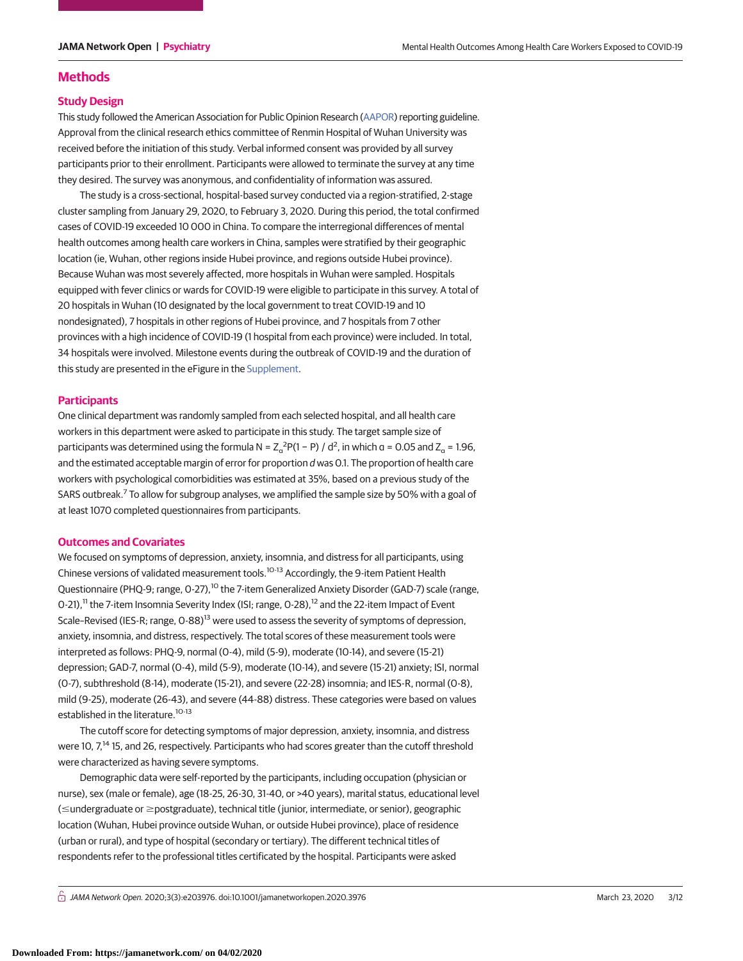# **Methods**

# **Study Design**

This study followed the American Association for Public Opinion Research [\(AAPOR\)](http://www.aapor.org/Publications-Media/AAPOR-Journals/Standard-Definitions.aspx) reporting guideline. Approval from the clinical research ethics committee of Renmin Hospital of Wuhan University was received before the initiation of this study. Verbal informed consent was provided by all survey participants prior to their enrollment. Participants were allowed to terminate the survey at any time they desired. The survey was anonymous, and confidentiality of information was assured.

The study is a cross-sectional, hospital-based survey conducted via a region-stratified, 2-stage cluster sampling from January 29, 2020, to February 3, 2020. During this period, the total confirmed cases of COVID-19 exceeded 10 000 in China. To compare the interregional differences of mental health outcomes among health care workers in China, samples were stratified by their geographic location (ie, Wuhan, other regions inside Hubei province, and regions outside Hubei province). Because Wuhan was most severely affected, more hospitals in Wuhan were sampled. Hospitals equipped with fever clinics or wards for COVID-19 were eligible to participate in this survey. A total of 20 hospitals in Wuhan (10 designated by the local government to treat COVID-19 and 10 nondesignated), 7 hospitals in other regions of Hubei province, and 7 hospitals from 7 other provinces with a high incidence of COVID-19 (1 hospital from each province) were included. In total, 34 hospitals were involved. Milestone events during the outbreak of COVID-19 and the duration of this study are presented in the eFigure in the [Supplement.](https://jama.jamanetwork.com/article.aspx?doi=10.1001/jamanetworkopen.2020.3976&utm_campaign=articlePDF%26utm_medium=articlePDFlink%26utm_source=articlePDF%26utm_content=jamanetworkopen.2020.3976)

# **Participants**

One clinical department was randomly sampled from each selected hospital, and all health care workers in this department were asked to participate in this study. The target sample size of participants was determined using the formula N =  $Z_\text{o}^2 P(1 - P) / d^2$ , in which  $a = 0.05$  and  $Z_\text{o}$  = 1.96, and the estimated acceptable margin of error for proportion d was 0.1. The proportion of health care workers with psychological comorbidities was estimated at 35%, based on a previous study of the SARS outbreak.<sup>7</sup> To allow for subgroup analyses, we amplified the sample size by 50% with a goal of at least 1070 completed questionnaires from participants.

# **Outcomes and Covariates**

We focused on symptoms of depression, anxiety, insomnia, and distress for all participants, using Chinese versions of validated measurement tools.<sup>10-13</sup> Accordingly, the 9-item Patient Health Questionnaire (PHQ-9; range, 0-27),<sup>10</sup> the 7-item Generalized Anxiety Disorder (GAD-7) scale (range, 0-21),<sup>11</sup> the 7-item Insomnia Severity Index (ISI; range, 0-28),<sup>12</sup> and the 22-item Impact of Event Scale–Revised (IES-R; range, O-88)<sup>13</sup> were used to assess the severity of symptoms of depression, anxiety, insomnia, and distress, respectively. The total scores of these measurement tools were interpreted as follows: PHQ-9, normal (0-4), mild (5-9), moderate (10-14), and severe (15-21) depression; GAD-7, normal (0-4), mild (5-9), moderate (10-14), and severe (15-21) anxiety; ISI, normal (0-7), subthreshold (8-14), moderate (15-21), and severe (22-28) insomnia; and IES-R, normal (0-8), mild (9-25), moderate (26-43), and severe (44-88) distress. These categories were based on values established in the literature.<sup>10-13</sup>

The cutoff score for detecting symptoms of major depression, anxiety, insomnia, and distress were 10, 7,<sup>14</sup> 15, and 26, respectively. Participants who had scores greater than the cutoff threshold were characterized as having severe symptoms.

Demographic data were self-reported by the participants, including occupation (physician or nurse), sex (male or female), age (18-25, 26-30, 31-40, or >40 years), marital status, educational level (≤undergraduate or ≥postgraduate), technical title (junior, intermediate, or senior), geographic location (Wuhan, Hubei province outside Wuhan, or outside Hubei province), place of residence (urban or rural), and type of hospital (secondary or tertiary). The different technical titles of respondents refer to the professional titles certificated by the hospital. Participants were asked

 $\bigcap$  JAMA Network Open. 2020;3(3):e203976. doi:10.1001/jamanetworkopen.2020.3976 (Reprinted) March 23, 2020 3/12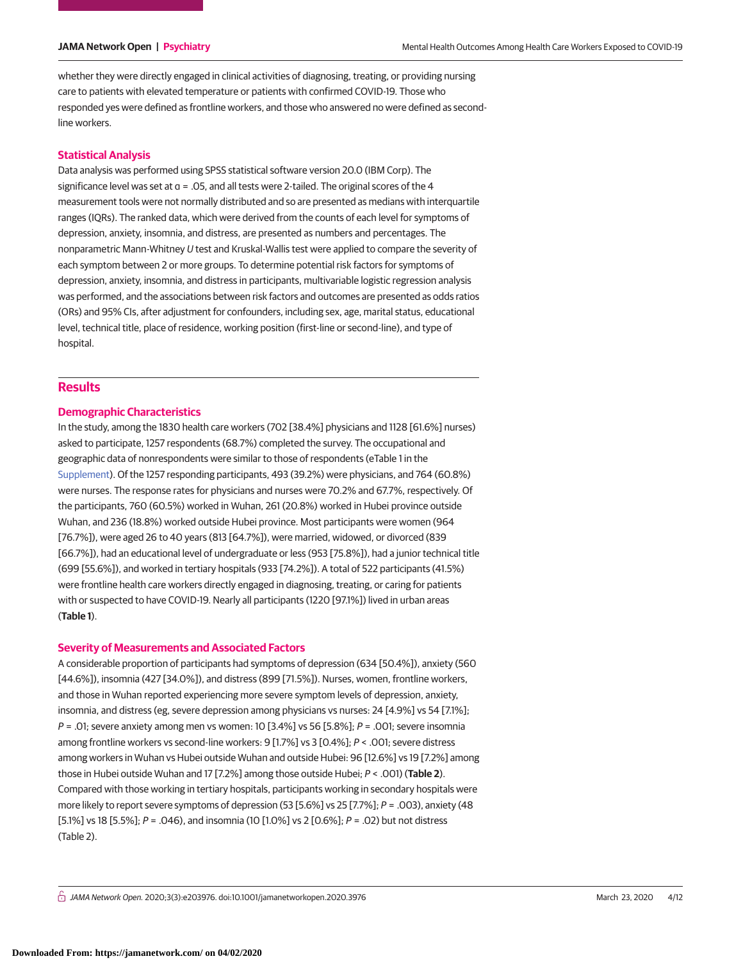whether they were directly engaged in clinical activities of diagnosing, treating, or providing nursing care to patients with elevated temperature or patients with confirmed COVID-19. Those who responded yes were defined as frontline workers, and those who answered no were defined as secondline workers.

# **Statistical Analysis**

Data analysis was performed using SPSS statistical software version 20.0 (IBM Corp). The significance level was set at  $a = 0.05$ , and all tests were 2-tailed. The original scores of the 4 measurement tools were not normally distributed and so are presented as medians with interquartile ranges (IQRs). The ranked data, which were derived from the counts of each level for symptoms of depression, anxiety, insomnia, and distress, are presented as numbers and percentages. The nonparametric Mann-Whitney U test and Kruskal-Wallis test were applied to compare the severity of each symptom between 2 or more groups. To determine potential risk factors for symptoms of depression, anxiety, insomnia, and distress in participants, multivariable logistic regression analysis was performed, and the associations between risk factors and outcomes are presented as odds ratios (ORs) and 95% CIs, after adjustment for confounders, including sex, age, marital status, educational level, technical title, place of residence, working position (first-line or second-line), and type of hospital.

# **Results**

# **Demographic Characteristics**

In the study, among the 1830 health care workers (702 [38.4%] physicians and 1128 [61.6%] nurses) asked to participate, 1257 respondents (68.7%) completed the survey. The occupational and geographic data of nonrespondents were similar to those of respondents (eTable 1 in the [Supplement\)](https://jama.jamanetwork.com/article.aspx?doi=10.1001/jamanetworkopen.2020.3976&utm_campaign=articlePDF%26utm_medium=articlePDFlink%26utm_source=articlePDF%26utm_content=jamanetworkopen.2020.3976). Of the 1257 responding participants, 493 (39.2%) were physicians, and 764 (60.8%) were nurses. The response rates for physicians and nurses were 70.2% and 67.7%, respectively. Of the participants, 760 (60.5%) worked in Wuhan, 261 (20.8%) worked in Hubei province outside Wuhan, and 236 (18.8%) worked outside Hubei province. Most participants were women (964 [76.7%]), were aged 26 to 40 years (813 [64.7%]), were married, widowed, or divorced (839 [66.7%]), had an educational level of undergraduate or less (953 [75.8%]), had a junior technical title (699 [55.6%]), and worked in tertiary hospitals (933 [74.2%]). A total of 522 participants (41.5%) were frontline health care workers directly engaged in diagnosing, treating, or caring for patients with or suspected to have COVID-19. Nearly all participants (1220 [97.1%]) lived in urban areas (**Table 1**).

# **Severity of Measurements and Associated Factors**

A considerable proportion of participants had symptoms of depression (634 [50.4%]), anxiety (560 [44.6%]), insomnia (427 [34.0%]), and distress (899 [71.5%]). Nurses, women, frontline workers, and those in Wuhan reported experiencing more severe symptom levels of depression, anxiety, insomnia, and distress (eg, severe depression among physicians vs nurses: 24 [4.9%] vs 54 [7.1%];  $P = .01$ ; severe anxiety among men vs women: 10 [3.4%] vs 56 [5.8%];  $P = .001$ ; severe insomnia among frontline workers vs second-line workers: 9 [1.7%] vs 3 [0.4%]; P < .001; severe distress among workers in Wuhan vs Hubei outside Wuhan and outside Hubei: 96 [12.6%] vs 19 [7.2%] among those in Hubei outside Wuhan and 17 [7.2%] among those outside Hubei; P < .001) (**Table 2**). Compared with those working in tertiary hospitals, participants working in secondary hospitals were more likely to report severe symptoms of depression (53 [5.6%] vs 25 [7.7%]; P = .003), anxiety (48 [5.1%] vs 18 [5.5%]; P = .046), and insomnia (10 [1.0%] vs 2 [0.6%]; P = .02) but not distress (Table 2).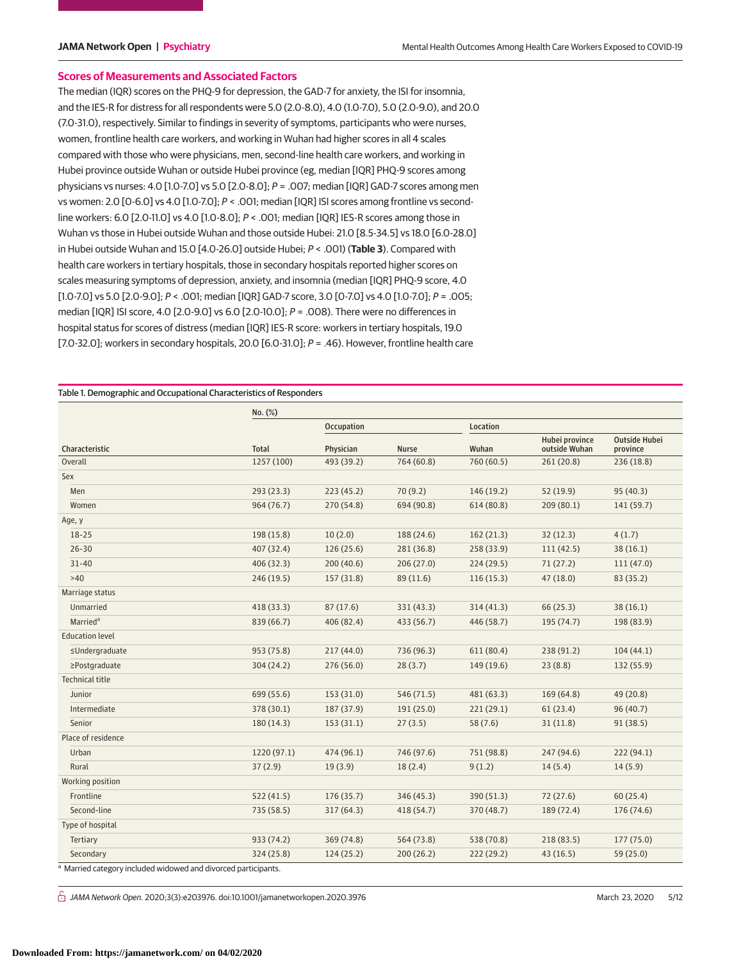# **Scores of Measurements and Associated Factors**

The median (IQR) scores on the PHQ-9 for depression, the GAD-7 for anxiety, the ISI for insomnia, and the IES-R for distress for all respondents were 5.0 (2.0-8.0), 4.0 (1.0-7.0), 5.0 (2.0-9.0), and 20.0 (7.0-31.0), respectively. Similar to findings in severity of symptoms, participants who were nurses, women, frontline health care workers, and working in Wuhan had higher scores in all 4 scales compared with those who were physicians, men, second-line health care workers, and working in Hubei province outside Wuhan or outside Hubei province (eg, median [IQR] PHQ-9 scores among physicians vs nurses: 4.0 [1.0-7.0] vs 5.0 [2.0-8.0]; P = .007; median [IQR] GAD-7 scores among men vs women: 2.0 [0-6.0] vs 4.0 [1.0-7.0]; P < .001; median [IQR] ISI scores among frontline vs secondline workers: 6.0 [2.0-11.0] vs 4.0 [1.0-8.0]; P < .001; median [IQR] IES-R scores among those in Wuhan vs those in Hubei outside Wuhan and those outside Hubei: 21.0 [8.5-34.5] vs 18.0 [6.0-28.0] in Hubei outside Wuhan and 15.0 [4.0-26.0] outside Hubei; P < .001) (**Table 3**). Compared with health care workers in tertiary hospitals, those in secondary hospitals reported higher scores on scales measuring symptoms of depression, anxiety, and insomnia (median [IQR] PHQ-9 score, 4.0 [1.0-7.0] vs 5.0 [2.0-9.0]; P < .001; median [IQR] GAD-7 score, 3.0 [0-7.0] vs 4.0 [1.0-7.0]; P = .005; median [IQR] ISI score, 4.0 [2.0-9.0] vs 6.0 [2.0-10.0]; P = .008). There were no differences in hospital status for scores of distress (median [IQR] IES-R score: workers in tertiary hospitals, 19.0 [7.0-32.0]; workers in secondary hospitals, 20.0 [6.0-31.0];  $P = .46$ ). However, frontline health care

### Table 1. Demographic and Occupational Characteristics of Responders

|                                                               | No. (%)      |            |              |            |                                 |                                  |
|---------------------------------------------------------------|--------------|------------|--------------|------------|---------------------------------|----------------------------------|
|                                                               |              | Occupation |              | Location   |                                 |                                  |
| Characteristic                                                | <b>Total</b> | Physician  | <b>Nurse</b> | Wuhan      | Hubei province<br>outside Wuhan | <b>Outside Hubei</b><br>province |
| Overall                                                       | 1257 (100)   | 493 (39.2) | 764 (60.8)   | 760 (60.5) | 261 (20.8)                      | 236 (18.8)                       |
| Sex                                                           |              |            |              |            |                                 |                                  |
| Men                                                           | 293(23.3)    | 223(45.2)  | 70(9.2)      | 146(19.2)  | 52 (19.9)                       | 95(40.3)                         |
| Women                                                         | 964 (76.7)   | 270 (54.8) | 694 (90.8)   | 614 (80.8) | 209(80.1)                       | 141(59.7)                        |
| Age, y                                                        |              |            |              |            |                                 |                                  |
| $18 - 25$                                                     | 198 (15.8)   | 10(2.0)    | 188 (24.6)   | 162(21.3)  | 32(12.3)                        | 4(1.7)                           |
| $26 - 30$                                                     | 407 (32.4)   | 126(25.6)  | 281 (36.8)   | 258 (33.9) | 111(42.5)                       | 38(16.1)                         |
| $31 - 40$                                                     | 406 (32.3)   | 200(40.6)  | 206(27.0)    | 224(29.5)  | 71(27.2)                        | 111(47.0)                        |
| >40                                                           | 246 (19.5)   | 157 (31.8) | 89 (11.6)    | 116(15.3)  | 47 (18.0)                       | 83 (35.2)                        |
| Marriage status                                               |              |            |              |            |                                 |                                  |
| Unmarried                                                     | 418 (33.3)   | 87(17.6)   | 331 (43.3)   | 314(41.3)  | 66 (25.3)                       | 38(16.1)                         |
| Married <sup>a</sup>                                          | 839 (66.7)   | 406 (82.4) | 433 (56.7)   | 446 (58.7) | 195 (74.7)                      | 198 (83.9)                       |
| <b>Education level</b>                                        |              |            |              |            |                                 |                                  |
| ≤Undergraduate                                                | 953 (75.8)   | 217(44.0)  | 736 (96.3)   | 611 (80.4) | 238 (91.2)                      | 104(44.1)                        |
| ≥Postgraduate                                                 | 304 (24.2)   | 276 (56.0) | 28(3.7)      | 149 (19.6) | 23(8.8)                         | 132 (55.9)                       |
| <b>Technical title</b>                                        |              |            |              |            |                                 |                                  |
| Junior                                                        | 699 (55.6)   | 153(31.0)  | 546 (71.5)   | 481 (63.3) | 169 (64.8)                      | 49 (20.8)                        |
| Intermediate                                                  | 378 (30.1)   | 187 (37.9) | 191 (25.0)   | 221(29.1)  | 61(23.4)                        | 96(40.7)                         |
| Senior                                                        | 180(14.3)    | 153(31.1)  | 27(3.5)      | 58(7.6)    | 31(11.8)                        | 91(38.5)                         |
| Place of residence                                            |              |            |              |            |                                 |                                  |
| Urban                                                         | 1220 (97.1)  | 474 (96.1) | 746 (97.6)   | 751 (98.8) | 247 (94.6)                      | 222(94.1)                        |
| Rural                                                         | 37(2.9)      | 19(3.9)    | 18(2.4)      | 9(1.2)     | 14(5.4)                         | 14(5.9)                          |
| Working position                                              |              |            |              |            |                                 |                                  |
| Frontline                                                     | 522(41.5)    | 176(35.7)  | 346 (45.3)   | 390 (51.3) | 72(27.6)                        | 60(25.4)                         |
| Second-line                                                   | 735 (58.5)   | 317(64.3)  | 418 (54.7)   | 370 (48.7) | 189 (72.4)                      | 176 (74.6)                       |
| Type of hospital                                              |              |            |              |            |                                 |                                  |
| Tertiary                                                      | 933 (74.2)   | 369 (74.8) | 564 (73.8)   | 538 (70.8) | 218 (83.5)                      | 177(75.0)                        |
| Secondary                                                     | 324 (25.8)   | 124(25.2)  | 200(26.2)    | 222(29.2)  | 43 (16.5)                       | 59 (25.0)                        |
| a Married category included widowed and diversed participants |              |            |              |            |                                 |                                  |

Married category included widowed and divorced participants

 $\bigcap$  JAMA Network Open. 2020;3(3):e203976. doi:10.1001/jamanetworkopen.2020.3976 (Reprinted) March 23, 2020 5/12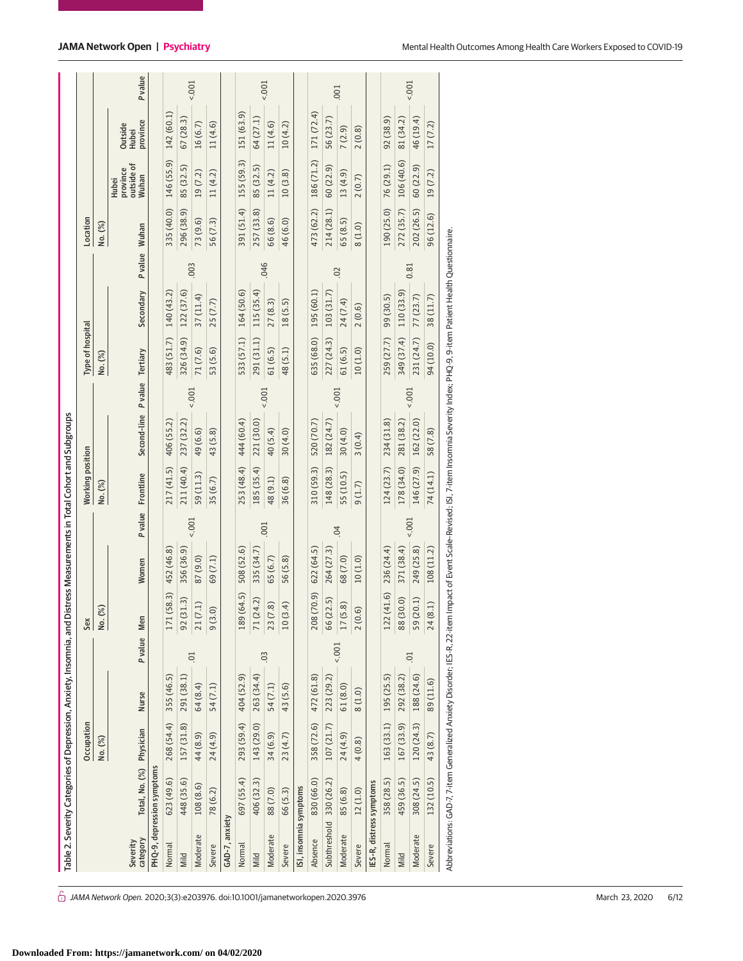|                          |                            |            | Table 2. Severity Categories of Depression, Anxiety, Insomnia, and Distress Measurements in Total Cohort and Subgroups |                |                              |            |          |                         |                                                                                                                 |          |                  |            |               |            |                                          |                                     |        |
|--------------------------|----------------------------|------------|------------------------------------------------------------------------------------------------------------------------|----------------|------------------------------|------------|----------|-------------------------|-----------------------------------------------------------------------------------------------------------------|----------|------------------|------------|---------------|------------|------------------------------------------|-------------------------------------|--------|
|                          |                            | Occupation |                                                                                                                        |                | Sex                          |            |          | <b>Working position</b> |                                                                                                                 |          | Type of hospital |            |               | Location   |                                          |                                     |        |
|                          |                            | No. (%)    |                                                                                                                        |                | %<br>$\frac{1}{2}$           |            |          | No. (%)                 |                                                                                                                 |          | No. (%)          |            |               | No. (%)    |                                          |                                     |        |
| category<br>Severity     | Total, No. (%) Physician   |            | Nurse                                                                                                                  | P value Men    |                              | Women      |          | P value Frontline       | Second-line P value Tertiary                                                                                    |          |                  | Secondary  | P value Wuhan |            | outside of<br>province<br>Wuhan<br>Hubei | province<br>Outside<br><b>Hubei</b> | Pvalue |
|                          | PHQ-9, depression symptoms |            |                                                                                                                        |                |                              |            |          |                         |                                                                                                                 |          |                  |            |               |            |                                          |                                     |        |
| Normal                   | 623(49.6)                  | 268 (54.4) | 355 (46.5)                                                                                                             |                | (58.3)<br>171(               | 452 (46.8) |          | 217 (41.5)              | 406 (55.2)                                                                                                      |          | 483 (51.7)       | 140 (43.2) |               | 335 (40.0) | 146 (55.9)                               | 142 (60.1)                          |        |
| Mild                     | 448 (35.6)                 | 157 (31.8) | 291 (38.1)                                                                                                             |                | 92(31.3)                     | 356 (36.9) |          | 211 (40.4)              | 237 (32.2)                                                                                                      |          | 326 (34.9)       | 122 (37.6) |               | 296 (38.9) | 85 (32.5)                                | 67(28.3)                            |        |
| Moderate                 | 108(8.6)                   | 44 (8.9)   | 64 (8.4)                                                                                                               | $\overline{0}$ | 21(7.1)                      | 87 (9.0)   | 5001     | 59 (11.3)               | 49 (6.6)                                                                                                        | $5001 -$ | 71 (7.6)         | 37(11.4)   | 003           | 73 (9.6)   | 19(7.2)                                  | 16(6.7)                             | 1001   |
| Severe                   | 78 (6.2)                   | 24 (4.9)   | 54(7.1)                                                                                                                |                | $\widehat{\circ}$<br>9(3.    | 69 (7.1)   |          | 35(6.7)                 | 43(5.8)                                                                                                         |          | 53 (5.6)         | 25(7.7)    |               | 56 (7.3)   | 11(4.2)                                  | 11(4.6)                             |        |
| GAD-7, anxiety           |                            |            |                                                                                                                        |                |                              |            |          |                         |                                                                                                                 |          |                  |            |               |            |                                          |                                     |        |
| Normal                   | 697 (55.4)                 | 293 (59.4) | 404 (52.9)                                                                                                             |                | (64.5)<br>189(               | 508 (52.6) |          | 253 (48.4)              | 444 (60.4)                                                                                                      |          | 533 (57.1)       | 164 (50.6) |               | 391 (51.4) | 155 (59.3)                               | 151 (63.9)                          |        |
| Mild                     | 406 (32.3)                 | 143 (29.0) | 263 (34.4)                                                                                                             |                | (4.2)<br>71(2)               | 335 (34.7) |          | 185 (35.4)              | 221 (30.0)                                                                                                      |          | 291 (31.1)       | 115(35.4)  |               | 257 (33.8) | 85 (32.5)                                | 64 (27.1)                           |        |
| Moderate                 | 88 (7.0)                   | 34 (6.9)   | 54 (7.1)                                                                                                               | 0 <sup>3</sup> | $\ddot{\text{8}}$<br>23(7    | 65 (6.7)   | .001     | 48(9.1)                 | 40(5.4)                                                                                                         | 5001     | 61(6.5)          | 27(8.3)    | .046          | 66 (8.6)   | 11(4.2)                                  | 11(4.6)                             | 001    |
| Severe                   | 66 (5.3)                   | 23 (4.7)   | 43 (5.6)                                                                                                               |                | $\overline{4}$<br>10(3)      | 56 (5.8)   |          | 36 (6.8)                | 30(4.0)                                                                                                         |          | 48(5.1)          | 18(5.5)    |               | 46 (6.0)   | 10(3.8)                                  | 10(4.2)                             |        |
| ISI, insomnia symptoms   |                            |            |                                                                                                                        |                |                              |            |          |                         |                                                                                                                 |          |                  |            |               |            |                                          |                                     |        |
| Absence                  | 830 (66.0)                 | 358 (72.6) | 472 (61.8)                                                                                                             |                | 208 (70.9)                   | 622(64.5)  |          | 310 (59.3)              | 520 (70.7)                                                                                                      |          | 635 (68.0)       | 195(60.1)  |               | 473 (62.2) | 186 (71.2)                               | 171 (72.4)                          |        |
| Subthreshold 330 (26.2)  |                            | 107 (21.7) | 223 (29.2)                                                                                                             |                | 66 (22.5)                    | 264 (27.3) |          | 148 (28.3)              | 182 (24.7)                                                                                                      |          | 227 (24.3)       | 103(31.7)  |               | 214 (28.1) | 60 (22.9)                                | 56 (23.7)                           |        |
| Moderate                 | 85 (6.8)                   | 24 (4.9)   | 61(8.0)                                                                                                                | $1001 -$       | $\widetilde{\infty}$<br>17(5 | 68 (7.0)   | 04       | 55 (10.5)               | 30(4.0)                                                                                                         | $5001 -$ | 61(6.5)          | 24 (7.4)   | 02            | 65(8.5)    | 13(4.9)                                  | 7(2.9)                              | .001   |
| Severe                   | 12(1.0)                    | 4(0.8)     | 8(1.0)                                                                                                                 |                | 6<br>2(0.                    | 10(1.0)    |          | 9(1.7)                  | 3(0.4)                                                                                                          |          | 10(1.0)          | 2(0.6)     |               | 8(1.0)     | 2(0.7)                                   | 2(0.8)                              |        |
| IES-R, distress symptoms |                            |            |                                                                                                                        |                |                              |            |          |                         |                                                                                                                 |          |                  |            |               |            |                                          |                                     |        |
| Normal                   | 358 (28.5)                 | 163 (33.1) | 195 (25.5)                                                                                                             |                | (41.6)<br>122(               | 236 (24.4) |          | 124(23.7)               | 234 (31.8)                                                                                                      |          | 259 (27.7)       | 99 (30.5)  |               | 190 (25.0) | 76(29.1)                                 | 92(38.9)                            |        |
| Mild                     | 459 (36.5)                 | 167 (33.9) | 292 (38.2)                                                                                                             |                | 88 (30.0)                    | 371 (38.4) |          | 178 (34.0)              | 281 (38.2)                                                                                                      |          | 349 (37.4)       | 110(33.9)  |               | 272 (35.7) | 106 (40.6)                               | 81 (34.2)                           |        |
| Moderate                 | 308 (24.5)                 | 120 (24.3) | 188 (24.6)                                                                                                             | $\overline{0}$ | 59 (20.1)                    | 249 (25.8) | $5001 -$ | 146 (27.9)              | 162 (22.0)                                                                                                      | 5001     | 231 (24.7)       | 77 (23.7)  | 0.81          | 202 (26.5) | 60(22.9)                                 | 46 (19.4)                           | 1001   |
| Severe                   | 132 (10.5)                 | 43 (8.7)   | 89 (11.6)                                                                                                              |                | 24 (8.1)                     | 108 (11.2) |          | 74(14.1)                | 58 (7.8)                                                                                                        |          | 94 (10.0)        | 38 (11.7)  |               | 96 (12.6)  | 19(7.2)                                  | 17(7.2)                             |        |
|                          |                            |            | Abbreviations: GAD-7, 7-item Generalized Anxiety Disorder; IES-R, 22-item                                              |                |                              |            |          |                         | Impact of Event Scale-Revised; ISI, 7-item Insomnia Severity Index; PHQ-9, 9-item Patient Health Questionnaire. |          |                  |            |               |            |                                          |                                     |        |

 $\hat{\bigcirc}$  JAMA Network Open. 2020;3(3):e203976. doi:10.1001/jamanetworkopen.2020.3976 (Reprinted) March 23, 2020 6/12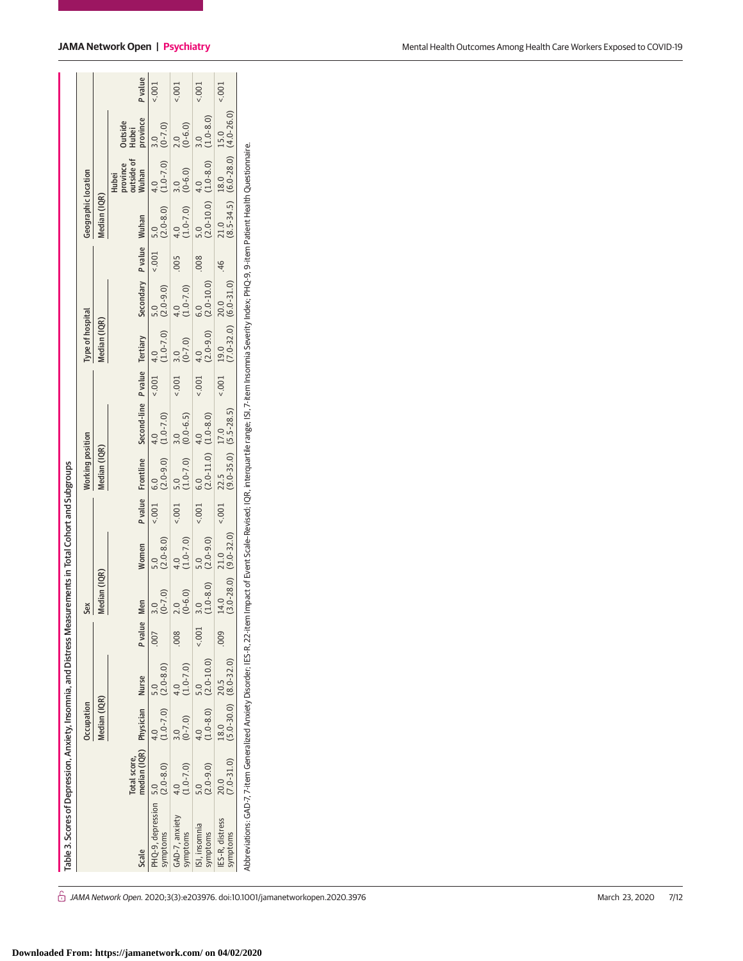|                                                                                                                                                                                                                     |                                              | Occupation                        |                          |         | Sex                            |                                   |                 | Working position                                                   |                                                                        | Type of hospital                                         |                    |       | Geographic location   |                                                                     |                               |                |
|---------------------------------------------------------------------------------------------------------------------------------------------------------------------------------------------------------------------|----------------------------------------------|-----------------------------------|--------------------------|---------|--------------------------------|-----------------------------------|-----------------|--------------------------------------------------------------------|------------------------------------------------------------------------|----------------------------------------------------------|--------------------|-------|-----------------------|---------------------------------------------------------------------|-------------------------------|----------------|
|                                                                                                                                                                                                                     |                                              | Median (IQR)                      |                          |         | Median (IQR)                   |                                   |                 | Median (IQR)                                                       |                                                                        | Median (IQR)                                             |                    |       | Median (IQR)          |                                                                     |                               |                |
| Scale                                                                                                                                                                                                               | median (IQR) Physician Nurse<br>Total score, |                                   |                          | P value | Men                            | Women                             |                 |                                                                    | P value Frontline Second-line P value Tertiary Secondary P value Wuhan |                                                          |                    |       |                       | province<br>outside of<br>Wuhan<br><b>Hubei</b>                     | province<br>Outside<br>Hubei  | <b>P</b> value |
| PHQ-9, depression 5.0<br>symptoms                                                                                                                                                                                   | $(2.0 - 8.0)$                                | $(1.0-7.0)$ $(2.0-8.0)$<br>4.0    | 5.0                      |         | $(0-7.0)$<br>3.0               | $(2.0 - 8.0)$<br>5.0              |                 | $(2.0-9.0)$ $(1.0-7.0)$<br>$0.001$ 6.0                             | 4.0                                                                    | $\leq 0.01$ 4.0<br>(1.0-7.0) $(2.0-9.0)$ $\leq 0.01$ 5.0 |                    |       |                       | $(2.0-8.0)$ $(1.0-7.0)$ $(0-7.0)$<br>4.0                            | 3.0                           | $\frac{1}{2}$  |
| GAD-7, anxiety<br>symptoms                                                                                                                                                                                          | $(1.0 - 7.0)$                                | $(0-7.0)$                         | $(1.0 - 7.0)$            | 008     | $(0 - 6.0)$<br>2.0             | $(1.0 - 7.0)$                     | $\frac{1}{100}$ | $\begin{array}{cc} 5.0 & 3.0 \\ (1.0-7.0) & (0.0-6.5) \end{array}$ |                                                                        | $(0.7001)$ 3.0                                           | $4.0$<br>(1.0-7.0) | 005   | $(1.0-7.0)$ $(0.6.0)$ |                                                                     | $(0 - 6.0)$<br>$\overline{a}$ | 5001           |
| ISI, insomnia<br>symptoms                                                                                                                                                                                           | $(2.0 - 9.0)$                                |                                   | $(1.0-8.0)$ $(2.0-10.0)$ | 5001    | $(1.0-8.0)$ $(2.0-9.0)$<br>3.0 |                                   |                 | $(2.001 \t 6.0 \t 4.0 \t 4.0 \t 4.0 \t (1.0-8.0))$                 |                                                                        | $(0.014.0$<br>$(2.0-9.0)$ $(2.0-10.0)$                   |                    |       |                       | $\begin{array}{cc} 5.0 & 4.0 \\ (2.0-10.0) & (1.0-8.0) \end{array}$ | $(1.0 - 8.0)$                 | 5001           |
| IES-R. distress<br>symptoms                                                                                                                                                                                         | $(7.0 - 31.0)$<br>20.0                       | $(5.0-30.0)$ $(8.0-32.0)$<br>18.0 | 20.5                     | $009$ . | 14.0                           | $(3.0-28.0)$ $(9.0-32.0)$<br>21.0 |                 | $(0.001 \t 22.5 \t 17.0 \t (9.0-35.0) \t (5.5-28.5))$              |                                                                        | $(7.0-32.0)$ $(6.0-31.0)$<br>$0.02$ 19.0 $20.0$          |                    | $-46$ |                       | $21.0$ 18.0 15.0<br>(8.5-34.5) (6.0-28.0) (4.0-26.0)                |                               | $5001 -$       |
| Abbreviations: GAD-7, 7-item Generalized Anxiety Disorder; IES-R, 22-item Impact of Event Scale-Revised: IQR, interquartile range; ISI, 7-item Insomnia Severity Index; PHQ-9, 9-item Patient Health Questionnaire. |                                              |                                   |                          |         |                                |                                   |                 |                                                                    |                                                                        |                                                          |                    |       |                       |                                                                     |                               |                |

 $\hat{\bigcirc}$  JAMA Network Open. 2020;3(3):e203976. doi:10.1001/jamanetworkopen.2020.3976 (Reprinted) March 23, 2020 7/12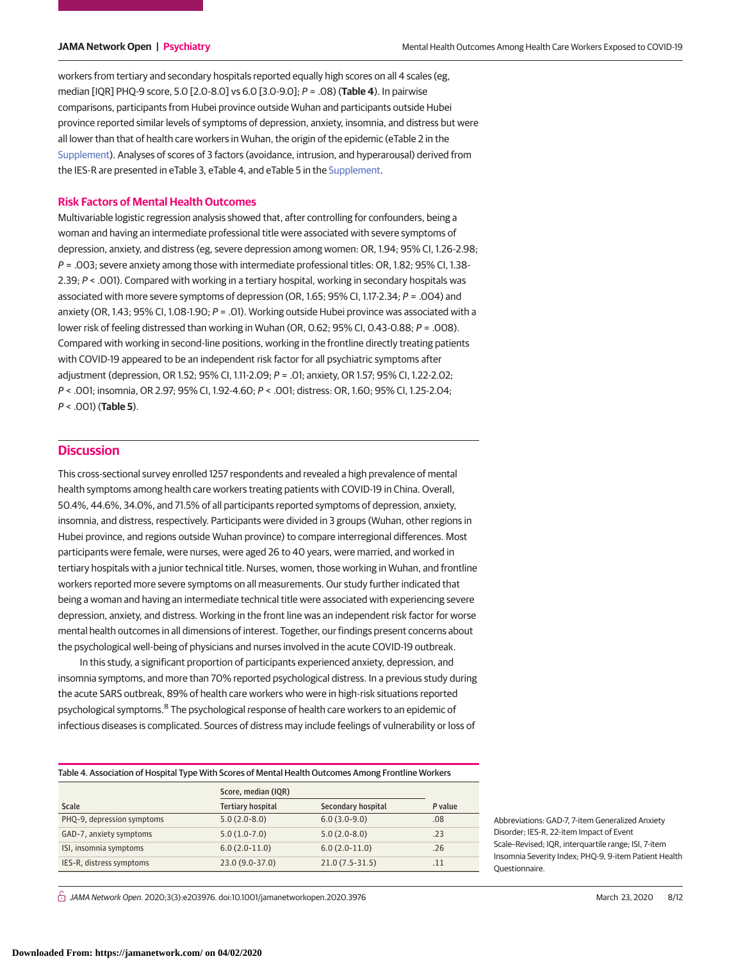workers from tertiary and secondary hospitals reported equally high scores on all 4 scales (eg, median [IQR] PHQ-9 score, 5.0 [2.0-8.0] vs 6.0 [3.0-9.0]; P = .08) (**Table 4**). In pairwise comparisons, participants from Hubei province outside Wuhan and participants outside Hubei province reported similar levels of symptoms of depression, anxiety, insomnia, and distress but were all lower than that of health care workers in Wuhan, the origin of the epidemic (eTable 2 in the [Supplement\)](https://jama.jamanetwork.com/article.aspx?doi=10.1001/jamanetworkopen.2020.3976&utm_campaign=articlePDF%26utm_medium=articlePDFlink%26utm_source=articlePDF%26utm_content=jamanetworkopen.2020.3976). Analyses of scores of 3 factors (avoidance, intrusion, and hyperarousal) derived from the IES-R are presented in eTable 3, eTable 4, and eTable 5 in the [Supplement.](https://jama.jamanetwork.com/article.aspx?doi=10.1001/jamanetworkopen.2020.3976&utm_campaign=articlePDF%26utm_medium=articlePDFlink%26utm_source=articlePDF%26utm_content=jamanetworkopen.2020.3976)

# **Risk Factors of Mental Health Outcomes**

Multivariable logistic regression analysis showed that, after controlling for confounders, being a woman and having an intermediate professional title were associated with severe symptoms of depression, anxiety, and distress (eg, severe depression among women: OR, 1.94; 95% CI, 1.26-2.98;  $P = 0.003$ ; severe anxiety among those with intermediate professional titles: OR, 1.82; 95% CI, 1.38-2.39; P < .001). Compared with working in a tertiary hospital, working in secondary hospitals was associated with more severe symptoms of depression (OR, 1.65; 95% CI, 1.17-2.34; P = .004) and anxiety (OR, 1.43; 95% CI, 1.08-1.90;  $P = .01$ ). Working outside Hubei province was associated with a lower risk of feeling distressed than working in Wuhan (OR, 0.62; 95% CI, 0.43-0.88; P = .008). Compared with working in second-line positions, working in the frontline directly treating patients with COVID-19 appeared to be an independent risk factor for all psychiatric symptoms after adjustment (depression, OR 1.52; 95% CI, 1.11-2.09; P = .01; anxiety, OR 1.57; 95% CI, 1.22-2.02; P < .001; insomnia, OR 2.97; 95% CI, 1.92-4.60; P < .001; distress: OR, 1.60; 95% CI, 1.25-2.04; P < .001) (**Table 5**).

# **Discussion**

This cross-sectional survey enrolled 1257 respondents and revealed a high prevalence of mental health symptoms among health care workers treating patients with COVID-19 in China. Overall, 50.4%, 44.6%, 34.0%, and 71.5% of all participants reported symptoms of depression, anxiety, insomnia, and distress, respectively. Participants were divided in 3 groups (Wuhan, other regions in Hubei province, and regions outside Wuhan province) to compare interregional differences. Most participants were female, were nurses, were aged 26 to 40 years, were married, and worked in tertiary hospitals with a junior technical title. Nurses, women, those working in Wuhan, and frontline workers reported more severe symptoms on all measurements. Our study further indicated that being a woman and having an intermediate technical title were associated with experiencing severe depression, anxiety, and distress. Working in the front line was an independent risk factor for worse mental health outcomes in all dimensions of interest. Together, our findings present concerns about the psychological well-being of physicians and nurses involved in the acute COVID-19 outbreak.

In this study, a significant proportion of participants experienced anxiety, depression, and insomnia symptoms, and more than 70% reported psychological distress. In a previous study during the acute SARS outbreak, 89% of health care workers who were in high-risk situations reported psychological symptoms.<sup>8</sup> The psychological response of health care workers to an epidemic of infectious diseases is complicated. Sources of distress may include feelings of vulnerability or loss of

Table 4. Association of Hospital Type With Scores of Mental Health Outcomes Among Frontline Workers

| Score, median (IQR) |                    |         |
|---------------------|--------------------|---------|
| Tertiary hospital   | Secondary hospital | P value |
| $5.0(2.0-8.0)$      | $6.0(3.0-9.0)$     | .08     |
| $5.0(1.0-7.0)$      | $5.0(2.0-8.0)$     | .23     |
| $6.0(2.0-11.0)$     | $6.0(2.0-11.0)$    | .26     |
| 23.0 (9.0-37.0)     | $21.0(7.5-31.5)$   | .11     |
|                     |                    |         |

Disorder; IES-R, 22-item Impact of Event Scale–Revised; IQR, interquartile range; ISI, 7-item Insomnia Severity Index; PHQ-9, 9-item Patient Health Questionnaire.

Abbreviations: GAD-7, 7-item Generalized Anxiety

 $\stackrel{\frown}{\Pi}$  JAMA Network Open. 2020;3(3):e203976. doi:10.1001/jamanetworkopen.2020.3976 (Reprinted) March 23, 2020 8/12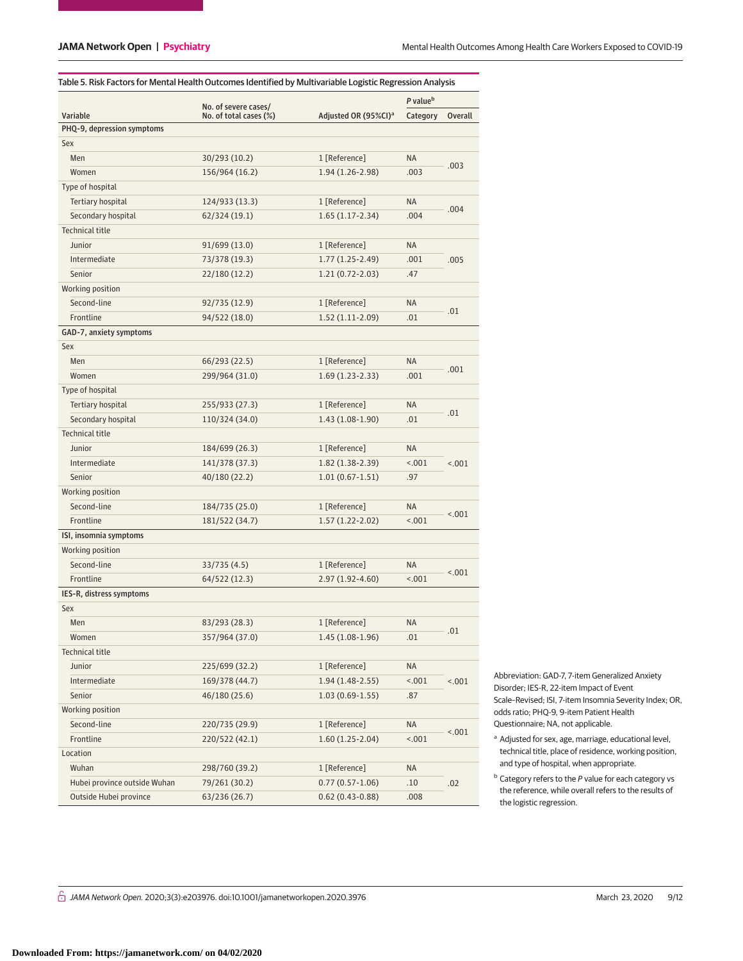|                              | No. of severe cases/   |                                  | P value <sup>b</sup> |         |
|------------------------------|------------------------|----------------------------------|----------------------|---------|
| Variable                     | No. of total cases (%) | Adjusted OR (95%CI) <sup>a</sup> | Category             | Overall |
| PHQ-9, depression symptoms   |                        |                                  |                      |         |
| Sex                          |                        |                                  |                      |         |
| Men                          | 30/293 (10.2)          | 1 [Reference]                    | ΝA                   | .003    |
| Women                        | 156/964 (16.2)         | 1.94 (1.26-2.98)                 | .003                 |         |
| Type of hospital             |                        |                                  |                      |         |
| Tertiary hospital            | 124/933 (13.3)         | 1 [Reference]                    | ΝA                   |         |
| Secondary hospital           | 62/324 (19.1)          | $1.65(1.17-2.34)$                | .004                 | .004    |
| <b>Technical title</b>       |                        |                                  |                      |         |
| Junior                       | 91/699 (13.0)          | 1 [Reference]                    | ΝA                   |         |
| Intermediate                 | 73/378 (19.3)          | $1.77(1.25-2.49)$                | .001                 | .005    |
| Senior                       | 22/180 (12.2)          | $1.21(0.72 - 2.03)$              | .47                  |         |
| Working position             |                        |                                  |                      |         |
| Second-line                  | 92/735 (12.9)          | 1 [Reference]                    | ΝA                   |         |
| Frontline                    | 94/522 (18.0)          | $1.52(1.11-2.09)$                | .01                  | .01     |
| GAD-7, anxiety symptoms      |                        |                                  |                      |         |
| Sex                          |                        |                                  |                      |         |
| Men                          | 66/293 (22.5)          | 1 [Reference]                    | ΝA                   |         |
| Women                        | 299/964 (31.0)         | $1.69(1.23-2.33)$                | .001                 | .001    |
| Type of hospital             |                        |                                  |                      |         |
| Tertiary hospital            | 255/933 (27.3)         | 1 [Reference]                    | ΝA                   |         |
| Secondary hospital           | 110/324 (34.0)         | 1.43 (1.08-1.90)                 | .01                  | .01     |
| <b>Technical title</b>       |                        |                                  |                      |         |
| Junior                       | 184/699 (26.3)         | 1 [Reference]                    | ΝA                   |         |
| Intermediate                 | 141/378 (37.3)         | 1.82 (1.38-2.39)                 | < .001               | < 0.01  |
| Senior                       | 40/180 (22.2)          | $1.01(0.67-1.51)$                | .97                  |         |
| Working position             |                        |                                  |                      |         |
| Second-line                  | 184/735 (25.0)         | 1 [Reference]                    | ΝA                   |         |
| Frontline                    | 181/522 (34.7)         | 1.57 (1.22-2.02)                 | < .001               | < .001  |
| ISI, insomnia symptoms       |                        |                                  |                      |         |
| Working position             |                        |                                  |                      |         |
| Second-line                  | 33/735 (4.5)           | 1 [Reference]                    | ΝA                   |         |
| Frontline                    | 64/522 (12.3)          | 2.97 (1.92-4.60)                 | < .001               | < .001  |
| IES-R, distress symptoms     |                        |                                  |                      |         |
| Sex                          |                        |                                  |                      |         |
| Men                          | 83/293 (28.3)          | 1 [Reference]                    | ΝA                   |         |
| Women                        | 357/964 (37.0)         | $1.45(1.08-1.96)$                | .01                  | .01     |
| <b>Technical title</b>       |                        |                                  |                      |         |
| Junior                       | 225/699 (32.2)         | 1 [Reference]                    | ΝA                   |         |
| Intermediate                 | 169/378 (44.7)         | $1.94(1.48-2.55)$                | < .001               |         |
| Senior                       | 46/180 (25.6)          | $1.03(0.69-1.55)$                |                      | < .001  |
|                              |                        |                                  | .87                  |         |
| Working position             |                        | 1 [Reference]                    |                      |         |
| Second-line                  | 220/735 (29.9)         |                                  | ΝA                   | < .001  |
| Frontline                    | 220/522 (42.1)         | $1.60(1.25-2.04)$                | < .001               |         |
| Location                     |                        |                                  |                      |         |
| Wuhan                        | 298/760 (39.2)         | 1 [Reference]                    | ΝA                   |         |
| Hubei province outside Wuhan | 79/261 (30.2)          | $0.77(0.57 - 1.06)$              | .10                  | .02     |
| Outside Hubei province       | 63/236 (26.7)          | $0.62(0.43 - 0.88)$              | .008                 |         |

Abbreviation: GAD-7, 7-item Generalized Anxiety Disorder; IES-R, 22-item Impact of Event Scale–Revised; ISI, 7-item Insomnia Severity Index; OR, odds ratio; PHQ-9, 9-item Patient Health Questionnaire; NA, not applicable.

<sup>a</sup> Adjusted for sex, age, marriage, educational level, technical title, place of residence, working position, and type of hospital, when appropriate.

 $<sup>b</sup>$  Category refers to the P value for each category vs</sup> the reference, while overall refers to the results of the logistic regression.

 $\hat{\Box}$  JAMA Network Open. 2020;3(3):e203976. doi:10.1001/jamanetworkopen.2020.3976 (Reprinted) March 23, 2020 9/12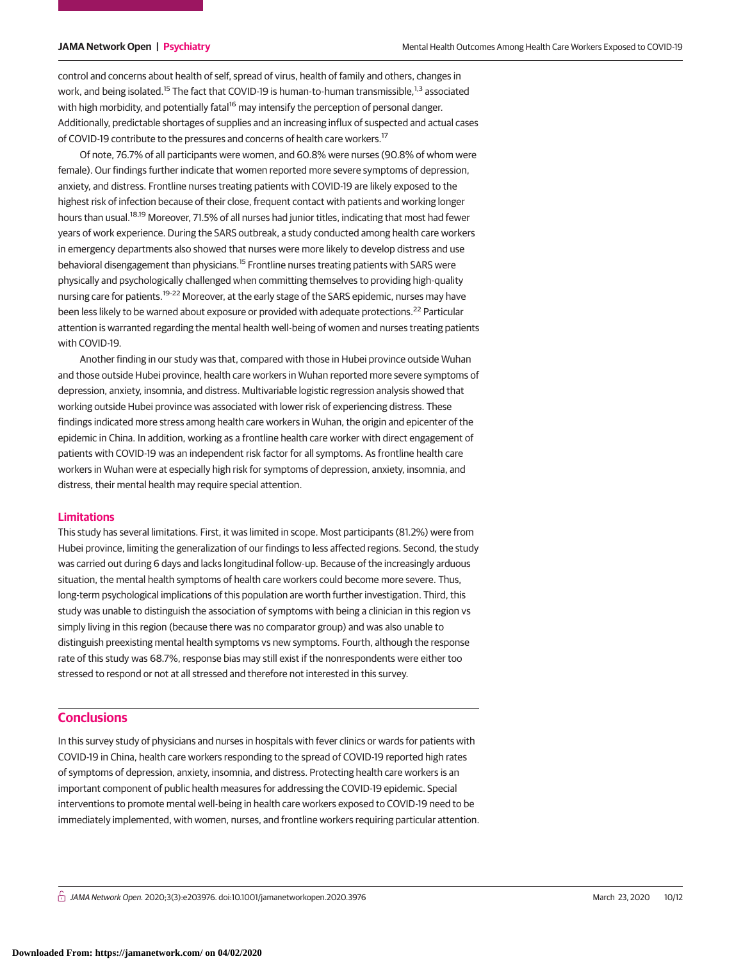control and concerns about health of self, spread of virus, health of family and others, changes in work, and being isolated.<sup>15</sup> The fact that COVID-19 is human-to-human transmissible,<sup>1,3</sup> associated with high morbidity, and potentially fatal<sup>16</sup> may intensify the perception of personal danger. Additionally, predictable shortages of supplies and an increasing influx of suspected and actual cases of COVID-19 contribute to the pressures and concerns of health care workers.<sup>17</sup>

Of note, 76.7% of all participants were women, and 60.8% were nurses (90.8% of whom were female). Our findings further indicate that women reported more severe symptoms of depression, anxiety, and distress. Frontline nurses treating patients with COVID-19 are likely exposed to the highest risk of infection because of their close, frequent contact with patients and working longer hours than usual.<sup>18,19</sup> Moreover, 71.5% of all nurses had junior titles, indicating that most had fewer years of work experience. During the SARS outbreak, a study conducted among health care workers in emergency departments also showed that nurses were more likely to develop distress and use behavioral disengagement than physicians.<sup>15</sup> Frontline nurses treating patients with SARS were physically and psychologically challenged when committing themselves to providing high-quality nursing care for patients.<sup>19-22</sup> Moreover, at the early stage of the SARS epidemic, nurses may have been less likely to be warned about exposure or provided with adequate protections.<sup>22</sup> Particular attention is warranted regarding the mental health well-being of women and nurses treating patients with COVID-19.

Another finding in our study was that, compared with those in Hubei province outside Wuhan and those outside Hubei province, health care workers in Wuhan reported more severe symptoms of depression, anxiety, insomnia, and distress. Multivariable logistic regression analysis showed that working outside Hubei province was associated with lower risk of experiencing distress. These findings indicated more stress among health care workers in Wuhan, the origin and epicenter of the epidemic in China. In addition, working as a frontline health care worker with direct engagement of patients with COVID-19 was an independent risk factor for all symptoms. As frontline health care workers in Wuhan were at especially high risk for symptoms of depression, anxiety, insomnia, and distress, their mental health may require special attention.

### **Limitations**

This study has several limitations. First, it was limited in scope. Most participants (81.2%) were from Hubei province, limiting the generalization of our findings to less affected regions. Second, the study was carried out during 6 days and lacks longitudinal follow-up. Because of the increasingly arduous situation, the mental health symptoms of health care workers could become more severe. Thus, long-term psychological implications of this population are worth further investigation. Third, this study was unable to distinguish the association of symptoms with being a clinician in this region vs simply living in this region (because there was no comparator group) and was also unable to distinguish preexisting mental health symptoms vs new symptoms. Fourth, although the response rate of this study was 68.7%, response bias may still exist if the nonrespondents were either too stressed to respond or not at all stressed and therefore not interested in this survey.

# **Conclusions**

In this survey study of physicians and nurses in hospitals with fever clinics or wards for patients with COVID-19 in China, health care workers responding to the spread of COVID-19 reported high rates of symptoms of depression, anxiety, insomnia, and distress. Protecting health care workers is an important component of public health measures for addressing the COVID-19 epidemic. Special interventions to promote mental well-being in health care workers exposed to COVID-19 need to be immediately implemented, with women, nurses, and frontline workers requiring particular attention.

 $\bigcap$  JAMA Network Open. 2020;3(3):e203976. doi:10.1001/jamanetworkopen.2020.3976 (Reprinted) March 23, 2020 10/12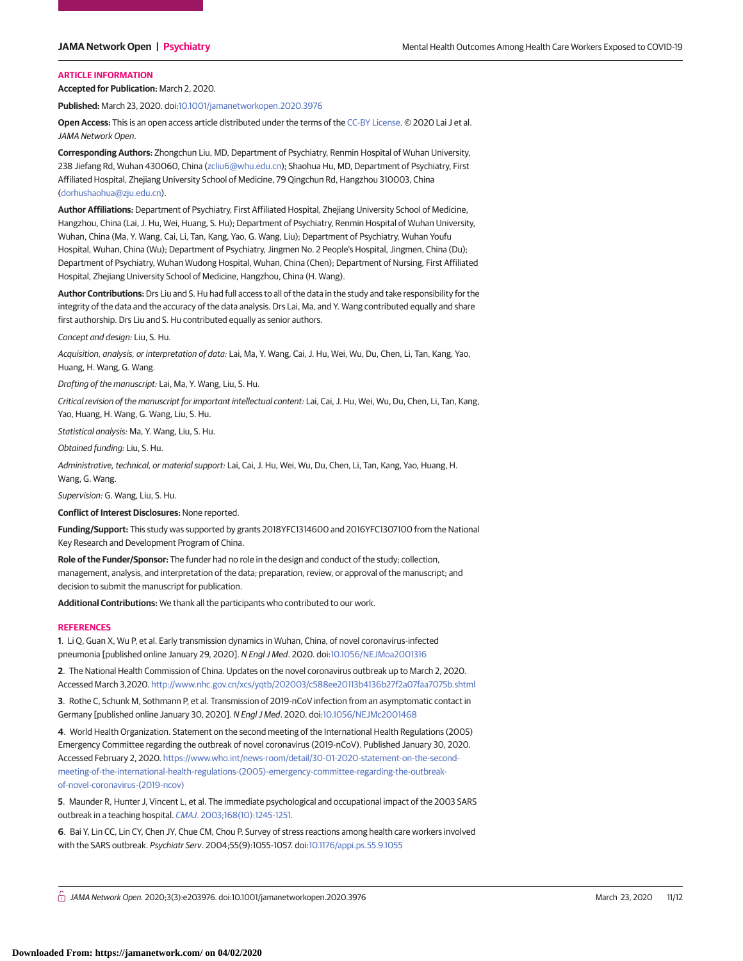# **ARTICLE INFORMATION**

**Accepted for Publication:** March 2, 2020.

**Published:** March 23, 2020. doi[:10.1001/jamanetworkopen.2020.3976](https://jama.jamanetwork.com/article.aspx?doi=10.1001/jamanetworkopen.2020.3976&utm_campaign=articlePDF%26utm_medium=articlePDFlink%26utm_source=articlePDF%26utm_content=jamanetworkopen.2020.3976)

**Open Access:** This is an open access article distributed under the terms of the [CC-BY License.](https://jamanetwork.com/journals/jamanetworkopen/pages/instructions-for-authors#SecOpenAccess/?utm_campaign=articlePDF%26utm_medium=articlePDFlink%26utm_source=articlePDF%26utm_content=jamanetworkopen.2020.3976) © 2020 Lai J et al. JAMA Network Open.

**Corresponding Authors:** Zhongchun Liu, MD, Department of Psychiatry, Renmin Hospital of Wuhan University, 238 Jiefang Rd, Wuhan 430060, China [\(zcliu6@whu.edu.cn\)](mailto:zcliu6@whu.edu.cn); Shaohua Hu, MD, Department of Psychiatry, First Affiliated Hospital, Zhejiang University School of Medicine, 79 Qingchun Rd, Hangzhou 310003, China [\(dorhushaohua@zju.edu.cn\)](mailto:dorhushaohua@zju.edu.cn).

**Author Affiliations:** Department of Psychiatry, First Affiliated Hospital, Zhejiang University School of Medicine, Hangzhou, China (Lai, J. Hu, Wei, Huang, S. Hu); Department of Psychiatry, Renmin Hospital of Wuhan University, Wuhan, China (Ma, Y. Wang, Cai, Li, Tan, Kang, Yao, G. Wang, Liu); Department of Psychiatry, Wuhan Youfu Hospital, Wuhan, China (Wu); Department of Psychiatry, Jingmen No. 2 People's Hospital, Jingmen, China (Du); Department of Psychiatry, Wuhan Wudong Hospital, Wuhan, China (Chen); Department of Nursing, First Affiliated Hospital, Zhejiang University School of Medicine, Hangzhou, China (H. Wang).

**Author Contributions:** Drs Liu and S. Hu had full access to all of the data in the study and take responsibility for the integrity of the data and the accuracy of the data analysis. Drs Lai, Ma, and Y. Wang contributed equally and share first authorship. Drs Liu and S. Hu contributed equally as senior authors.

Concept and design: Liu, S. Hu.

Acquisition, analysis, or interpretation of data: Lai, Ma, Y. Wang, Cai, J. Hu, Wei, Wu, Du, Chen, Li, Tan, Kang, Yao, Huang, H. Wang, G. Wang.

Drafting of the manuscript: Lai, Ma, Y. Wang, Liu, S. Hu.

Critical revision of the manuscript for important intellectual content: Lai, Cai, J. Hu, Wei, Wu, Du, Chen, Li, Tan, Kang, Yao, Huang, H. Wang, G. Wang, Liu, S. Hu.

Statistical analysis: Ma, Y. Wang, Liu, S. Hu.

Obtained funding: Liu, S. Hu.

Administrative, technical, or material support: Lai, Cai, J. Hu, Wei, Wu, Du, Chen, Li, Tan, Kang, Yao, Huang, H. Wang, G. Wang.

Supervision: G. Wang, Liu, S. Hu.

**Conflict of Interest Disclosures:** None reported.

**Funding/Support:** This study was supported by grants 2018YFC1314600 and 2016YFC1307100 from the National Key Research and Development Program of China.

**Role of the Funder/Sponsor:** The funder had no role in the design and conduct of the study; collection, management, analysis, and interpretation of the data; preparation, review, or approval of the manuscript; and decision to submit the manuscript for publication.

**Additional Contributions:** We thank all the participants who contributed to our work.

#### **REFERENCES**

**1**. Li Q, Guan X, Wu P, et al. Early transmission dynamics in Wuhan, China, of novel coronavirus-infected pneumonia [published online January 29, 2020]. N Engl J Med. 2020. doi[:10.1056/NEJMoa2001316](https://dx.doi.org/10.1056/NEJMoa2001316)

**2**. The National Health Commission of China. Updates on the novel coronavirus outbreak up to March 2, 2020. Accessed March 3,2020. <http://www.nhc.gov.cn/xcs/yqtb/202003/c588ee20113b4136b27f2a07faa7075b.shtml>

**3**. Rothe C, Schunk M, Sothmann P, et al. Transmission of 2019-nCoV infection from an asymptomatic contact in Germany [published online January 30, 2020]. N Engl J Med. 2020. doi[:10.1056/NEJMc2001468](https://dx.doi.org/10.1056/NEJMc2001468)

**4**. World Health Organization. Statement on the second meeting of the International Health Regulations (2005) Emergency Committee regarding the outbreak of novel coronavirus (2019-nCoV). Published January 30, 2020. Accessed February 2, 2020. [https://www.who.int/news-room/detail/30-01-2020-statement-on-the-second](https://www.who.int/news-room/detail/30-01-2020-statement-on-the-second-meeting-of-the-international-health-regulations-(2005)-emergency-committee-regarding-the-outbreak-of-novel-coronavirus-(2019-ncov))[meeting-of-the-international-health-regulations-\(2005\)-emergency-committee-regarding-the-outbreak](https://www.who.int/news-room/detail/30-01-2020-statement-on-the-second-meeting-of-the-international-health-regulations-(2005)-emergency-committee-regarding-the-outbreak-of-novel-coronavirus-(2019-ncov))[of-novel-coronavirus-\(2019-ncov\)](https://www.who.int/news-room/detail/30-01-2020-statement-on-the-second-meeting-of-the-international-health-regulations-(2005)-emergency-committee-regarding-the-outbreak-of-novel-coronavirus-(2019-ncov))

**5**. Maunder R, Hunter J, Vincent L, et al. The immediate psychological and occupational impact of the 2003 SARS outbreak in a teaching hospital. CMAJ[. 2003;168\(10\):1245-1251.](https://www.ncbi.nlm.nih.gov/pubmed/12743065)

**6**. Bai Y, Lin CC, Lin CY, Chen JY, Chue CM, Chou P. Survey of stress reactions among health care workers involved with the SARS outbreak. Psychiatr Serv. 2004;55(9):1055-1057. doi[:10.1176/appi.ps.55.9.1055](https://dx.doi.org/10.1176/appi.ps.55.9.1055)

 $\bigcap$  JAMA Network Open. 2020;3(3):e203976. doi:10.1001/jamanetworkopen.2020.3976 (Reprinted) March 23, 2020 11/12